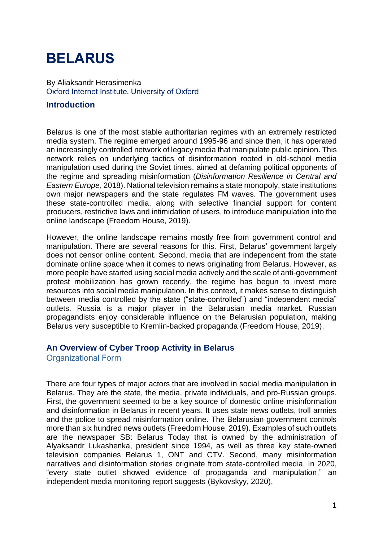# **BELARUS**

By Aliaksandr Herasimenka Oxford Internet Institute, University of Oxford

## **Introduction**

Belarus is one of the most stable authoritarian regimes with an extremely restricted media system. The regime emerged around 1995-96 and since then, it has operated an increasingly controlled network of legacy media that manipulate public opinion. This network relies on underlying tactics of disinformation rooted in old-school media manipulation used during the Soviet times, aimed at defaming political opponents of the regime and spreading misinformation (*Disinformation Resilience in Central and Eastern Europe*, 2018). National television remains a state monopoly, state institutions own major newspapers and the state regulates FM waves. The government uses these state-controlled media, along with selective financial support for content producers, restrictive laws and intimidation of users, to introduce manipulation into the online landscape (Freedom House, 2019).

However, the online landscape remains mostly free from government control and manipulation. There are several reasons for this. First, Belarus' government largely does not censor online content. Second, media that are independent from the state dominate online space when it comes to news originating from Belarus. However, as more people have started using social media actively and the scale of anti-government protest mobilization has grown recently, the regime has begun to invest more resources into social media manipulation. In this context, it makes sense to distinguish between media controlled by the state ("state-controlled") and "independent media" outlets. Russia is a major player in the Belarusian media market. Russian propagandists enjoy considerable influence on the Belarusian population, making Belarus very susceptible to Kremlin-backed propaganda (Freedom House, 2019).

## **An Overview of Cyber Troop Activity in Belarus**

Organizational Form

There are four types of major actors that are involved in social media manipulation in Belarus. They are the state, the media, private individuals, and pro-Russian groups. First, the government seemed to be a key source of domestic online misinformation and disinformation in Belarus in recent years. It uses state news outlets, troll armies and the police to spread misinformation online. The Belarusian government controls more than six hundred news outlets (Freedom House, 2019)*.* Examples of such outlets are the newspaper SB: Belarus Today that is owned by the administration of Alyaksandr Lukashenka, president since 1994, as well as three key state-owned television companies Belarus 1, ONT and CTV. Second, many misinformation narratives and disinformation stories originate from state-controlled media. In 2020, "every state outlet showed evidence of propaganda and manipulation," an independent media monitoring report suggests (Bykovskyy, 2020).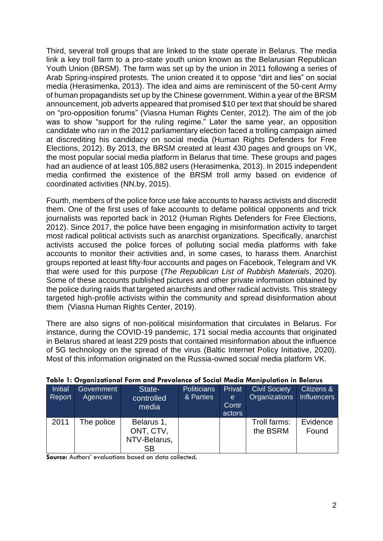Third, several troll groups that are linked to the state operate in Belarus. The media link a key troll farm to a pro-state youth union known as the Belarusian Republican Youth Union (BRSM). The farm was set up by the union in 2011 following a series of Arab Spring-inspired protests. The union created it to oppose "dirt and lies" on social media (Herasimenka, 2013). The idea and aims are reminiscent of the 50-cent Army of human propagandists set up by the Chinese government. Within a year of the BRSM announcement, job adverts appeared that promised \$10 per text that should be shared on "pro-opposition forums" (Viasna Human Rights Center, 2012). The aim of the job was to show "support for the ruling regime." Later the same year, an opposition candidate who ran in the 2012 parliamentary election faced a trolling campaign aimed at discrediting his candidacy on social media (Human Rights Defenders for Free Elections, 2012). By 2013, the BRSM created at least 430 pages and groups on VK, the most popular social media platform in Belarus that time. These groups and pages had an audience of at least 105,882 users (Herasimenka, 2013). In 2015 independent media confirmed the existence of the BRSM troll army based on evidence of coordinated activities (NN.by, 2015).

Fourth, members of the police force use fake accounts to harass activists and discredit them. One of the first uses of fake accounts to defame political opponents and trick journalists was reported back in 2012 (Human Rights Defenders for Free Elections, 2012). Since 2017, the police have been engaging in misinformation activity to target most radical political activists such as anarchist organizations. Specifically, anarchist activists accused the police forces of polluting social media platforms with fake accounts to monitor their activities and, in some cases, to harass them. Anarchist groups reported at least fifty-four accounts and pages on Facebook, Telegram and VK that were used for this purpose (*The Republican List of Rubbish Materials*, 2020). Some of these accounts published pictures and other private information obtained by the police during raids that targeted anarchists and other radical activists. This strategy targeted high-profile activists within the community and spread disinformation about them (Viasna Human Rights Center, 2019).

There are also signs of non-political misinformation that circulates in Belarus. For instance, during the COVID-19 pandemic, 171 social media accounts that originated in Belarus shared at least 229 posts that contained misinformation about the influence of 5G technology on the spread of the virus (Baltic Internet Policy Initiative, 2020). Most of this information originated on the Russia-owned social media platform VK.

| <b>Initial</b><br>Report | Government<br>Agencies | State-<br>controlled<br>media                        | <b>Politicians</b><br>& Parties | Privat<br>e.<br>Contr<br>actors | <b>Civil Society</b><br>Organizations | Citizens &<br><b>Influencers</b> |
|--------------------------|------------------------|------------------------------------------------------|---------------------------------|---------------------------------|---------------------------------------|----------------------------------|
| 2011                     | The police             | Belarus 1,<br>ONT, CTV,<br>NTV-Belarus,<br><b>SB</b> |                                 |                                 | Troll farms:<br>the BSRM              | Evidence<br>Found                |

#### **Table 1: Organizational Form and Prevalence of Social Media Manipulation in Belarus**

**Source:** Authors' evaluations based on data collected.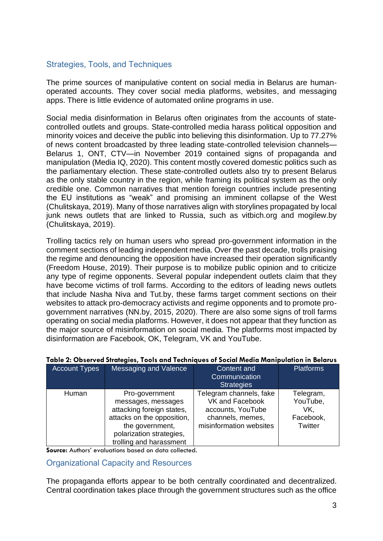# Strategies, Tools, and Techniques

The prime sources of manipulative content on social media in Belarus are humanoperated accounts. They cover social media platforms, websites, and messaging apps. There is little evidence of automated online programs in use.

Social media disinformation in Belarus often originates from the accounts of statecontrolled outlets and groups. State-controlled media harass political opposition and minority voices and deceive the public into believing this disinformation. Up to 77.27% of news content broadcasted by three leading state-controlled television channels— Belarus 1, ONT, CTV—in November 2019 contained signs of propaganda and manipulation (Media IQ, 2020). This content mostly covered domestic politics such as the parliamentary election. These state-controlled outlets also try to present Belarus as the only stable country in the region, while framing its political system as the only credible one. Common narratives that mention foreign countries include presenting the EU institutions as "weak" and promising an imminent collapse of the West (Chulitskaya, 2019). Many of those narratives align with storylines propagated by local junk news outlets that are linked to Russia, such as vitbich.org and mogilew.by (Chulitskaya, 2019).

Trolling tactics rely on human users who spread pro-government information in the comment sections of leading independent media. Over the past decade, trolls praising the regime and denouncing the opposition have increased their operation significantly (Freedom House, 2019). Their purpose is to mobilize public opinion and to criticize any type of regime opponents. Several popular independent outlets claim that they have become victims of troll farms. According to the editors of leading news outlets that include Nasha Niva and Tut.by, these farms target comment sections on their websites to attack pro-democracy activists and regime opponents and to promote progovernment narratives (NN.by, 2015, 2020). There are also some signs of troll farms operating on social media platforms. However, it does not appear that they function as the major source of misinformation on social media. The platforms most impacted by disinformation are Facebook, OK, Telegram, VK and YouTube.

| <b>Account Types</b> | <b>Messaging and Valence</b>                                                                                                                                              | <b>Content and</b><br>Communication<br><b>Strategies</b>                                                       | <b>Platforms</b>                                     |
|----------------------|---------------------------------------------------------------------------------------------------------------------------------------------------------------------------|----------------------------------------------------------------------------------------------------------------|------------------------------------------------------|
| Human                | Pro-government<br>messages, messages<br>attacking foreign states,<br>attacks on the opposition,<br>the government,<br>polarization strategies,<br>trolling and harassment | Telegram channels, fake<br>VK and Facebook<br>accounts, YouTube<br>channels, memes,<br>misinformation websites | Telegram,<br>YouTube,<br>VK.<br>Facebook,<br>Twitter |

## **Table 2: Observed Strategies, Tools and Techniques of Social Media Manipulation in Belarus**

**Source:** Authors' evaluations based on data collected.

Organizational Capacity and Resources

The propaganda efforts appear to be both centrally coordinated and decentralized. Central coordination takes place through the government structures such as the office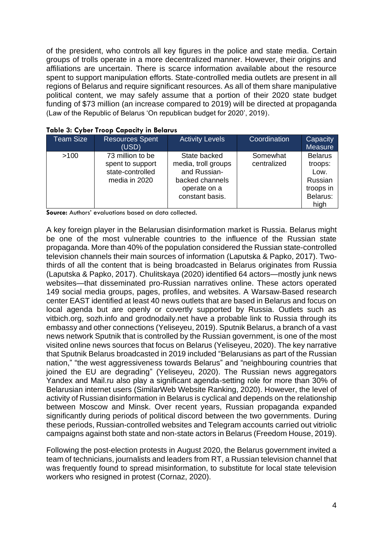of the president, who controls all key figures in the police and state media. Certain groups of trolls operate in a more decentralized manner. However, their origins and affiliations are uncertain. There is scarce information available about the resource spent to support manipulation efforts. State-controlled media outlets are present in all regions of Belarus and require significant resources. As all of them share manipulative political content, we may safely assume that a portion of their 2020 state budget funding of \$73 million (an increase compared to 2019) will be directed at propaganda (Law of the Republic of Belarus 'On republican budget for 2020', 2019).

| <b>Team Size</b> | <b>Resources Spent</b><br>(USD)                                           | <b>Activity Levels</b>                                                                                    | Coordination            | Capacity<br>Measure                                                           |
|------------------|---------------------------------------------------------------------------|-----------------------------------------------------------------------------------------------------------|-------------------------|-------------------------------------------------------------------------------|
| >100             | 73 million to be<br>spent to support<br>state-controlled<br>media in 2020 | State backed<br>media, troll groups<br>and Russian-<br>backed channels<br>operate on a<br>constant basis. | Somewhat<br>centralized | <b>Belarus</b><br>troops:<br>Low.<br>Russian<br>troops in<br>Belarus:<br>high |

#### **Table 3: Cyber Troop Capacity in Belarus**

**Source:** Authors' evaluations based on data collected.

A key foreign player in the Belarusian disinformation market is Russia. Belarus might be one of the most vulnerable countries to the influence of the Russian state propaganda. More than 40% of the population considered the Russian state-controlled television channels their main sources of information (Laputska & Papko, 2017). Twothirds of all the content that is being broadcasted in Belarus originates from Russia (Laputska & Papko, 2017). Chulitskaya (2020) identified 64 actors—mostly junk news websites—that disseminated pro-Russian narratives online. These actors operated 149 social media groups, pages, profiles, and websites. A Warsaw-Based research center EAST identified at least 40 news outlets that are based in Belarus and focus on local agenda but are openly or covertly supported by Russia. Outlets such as vitbich.org, sozh.info and grodnodaily.net have a probable link to Russia through its embassy and other connections (Yeliseyeu, 2019). Sputnik Belarus, a branch of a vast news network Sputnik that is controlled by the Russian government, is one of the most visited online news sources that focus on Belarus (Yeliseyeu, 2020). The key narrative that Sputnik Belarus broadcasted in 2019 included "Belarusians as part of the Russian nation," "the west aggressiveness towards Belarus" and "neighbouring countries that joined the EU are degrading" (Yeliseyeu, 2020). The Russian news aggregators Yandex and Mail.ru also play a significant agenda-setting role for more than 30% of Belarusian internet users (SimilarWeb Website Ranking, 2020). However, the level of activity of Russian disinformation in Belarus is cyclical and depends on the relationship between Moscow and Minsk. Over recent years, Russian propaganda expanded significantly during periods of political discord between the two governments. During these periods, Russian-controlled websites and Telegram accounts carried out vitriolic campaigns against both state and non-state actors in Belarus (Freedom House, 2019).

Following the post-election protests in August 2020, the Belarus government invited a team of technicians, journalists and leaders from RT, a Russian television channel that was frequently found to spread misinformation, to substitute for local state television workers who resigned in protest (Cornaz, 2020).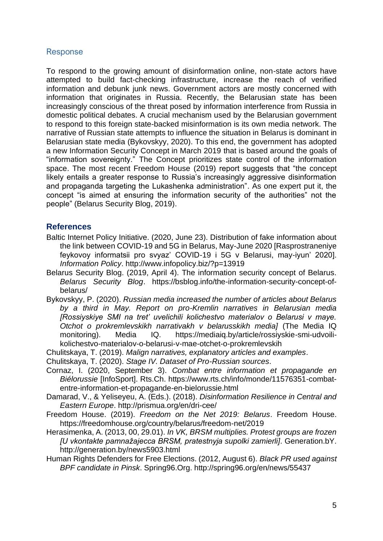## Response

To respond to the growing amount of disinformation online, non-state actors have attempted to build fact-checking infrastructure, increase the reach of verified information and debunk junk news. Government actors are mostly concerned with information that originates in Russia. Recently, the Belarusian state has been increasingly conscious of the threat posed by information interference from Russia in domestic political debates. A crucial mechanism used by the Belarusian government to respond to this foreign state-backed misinformation is its own media network. The narrative of Russian state attempts to influence the situation in Belarus is dominant in Belarusian state media (Bykovskyy, 2020). To this end, the government has adopted a new Information Security Concept in March 2019 that is based around the goals of "information sovereignty." The Concept prioritizes state control of the information space. The most recent Freedom House (2019) report suggests that "the concept likely entails a greater response to Russia's increasingly aggressive disinformation and propaganda targeting the Lukashenka administration". As one expert put it, the concept "is aimed at ensuring the information security of the authorities" not the people" (Belarus Security Blog, 2019).

## **References**

- Baltic Internet Policy Initiative. (2020, June 23). Distribution of fake information about the link between COVID-19 and 5G in Belarus, May-June 2020 [Rasprostraneniye feykovoy informatsii pro svyaz' COVID-19 i 5G v Belarusi, may-iyun' 2020]. *Information Policy*. http://www.infopolicy.biz/?p=13919
- Belarus Security Blog. (2019, April 4). The information security concept of Belarus. *Belarus Security Blog*. https://bsblog.info/the-information-security-concept-ofbelarus/
- Bykovskyy, P. (2020). *Russian media increased the number of articles about Belarus by a third in May. Report on pro-Kremlin narratives in Belarusian media [Rossiyskiye SMI na tret' uvelichili kolichestvo materialov o Belarusi v maye. Otchot o prokremlevskikh narrativakh v belarusskikh media]* (The Media IQ monitoring). Media IQ. https://mediaiq.by/article/rossiyskie-smi-udvoilikolichestvo-materialov-o-belarusi-v-mae-otchet-o-prokremlevskih

Chulitskaya, T. (2019). *Malign narratives, explanatory articles and examples*.

Chulitskaya, T. (2020). *Stage IV. Dataset of Pro-Russian sources*.

- Cornaz, I. (2020, September 3). *Combat entre information et propagande en Biélorussie* [InfoSport]. Rts.Ch. https://www.rts.ch/info/monde/11576351-combatentre-information-et-propagande-en-bielorussie.html
- Damarad, V., & Yeliseyeu, A. (Eds.). (2018). *Disinformation Resilience in Central and Eastern Europe*. http://prismua.org/en/dri-cee/
- Freedom House. (2019). *Freedom on the Net 2019: Belarus*. Freedom House. https://freedomhouse.org/country/belarus/freedom-net/2019
- Herasimenka, A. (2013, 00, 29.01). *In VK, BRSM multiplies. Protest groups are frozen [U vkontakte pamnažajecca BRSM, pratestnyja supolki zamierli]*. Generation.bY. http://generation.by/news5903.html
- Human Rights Defenders for Free Elections. (2012, August 6). *Black PR used against BPF candidate in Pinsk*. Spring96.Org. http://spring96.org/en/news/55437